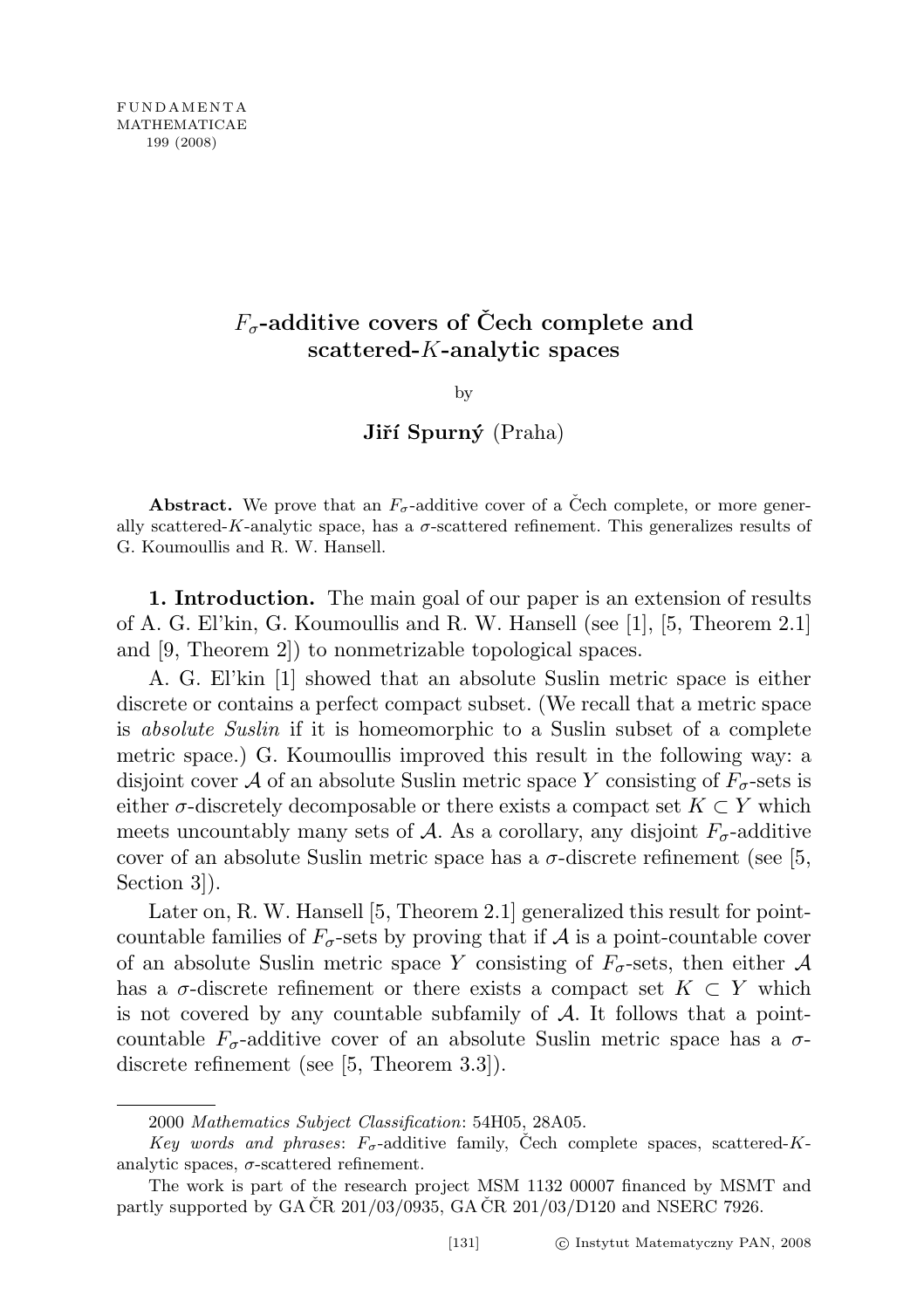## $F_{\sigma}$ -additive covers of Čech complete and scattered-K-analytic spaces

by

Jiří Spurný (Praha)

Abstract. We prove that an  $F_{\sigma}$ -additive cover of a Čech complete, or more generally scattered-K-analytic space, has a  $\sigma$ -scattered refinement. This generalizes results of G. Koumoullis and R. W. Hansell.

1. Introduction. The main goal of our paper is an extension of results of A. G. El'kin, G. Koumoullis and R. W. Hansell (see [1], [5, Theorem 2.1] and [9, Theorem 2]) to nonmetrizable topological spaces.

A. G. El'kin [1] showed that an absolute Suslin metric space is either discrete or contains a perfect compact subset. (We recall that a metric space is absolute Suslin if it is homeomorphic to a Suslin subset of a complete metric space.) G. Koumoullis improved this result in the following way: a disjoint cover A of an absolute Suslin metric space Y consisting of  $F_{\sigma}$ -sets is either  $\sigma$ -discretely decomposable or there exists a compact set  $K \subset Y$  which meets uncountably many sets of A. As a corollary, any disjoint  $F_{\sigma}$ -additive cover of an absolute Suslin metric space has a  $\sigma$ -discrete refinement (see [5, Section 3]).

Later on, R. W. Hansell [5, Theorem 2.1] generalized this result for pointcountable families of  $F_{\sigma}$ -sets by proving that if A is a point-countable cover of an absolute Suslin metric space Y consisting of  $F_{\sigma}$ -sets, then either A has a  $\sigma$ -discrete refinement or there exists a compact set  $K \subset Y$  which is not covered by any countable subfamily of  $A$ . It follows that a pointcountable  $F_{\sigma}$ -additive cover of an absolute Suslin metric space has a  $\sigma$ discrete refinement (see [5, Theorem 3.3]).

<sup>2000</sup> Mathematics Subject Classification: 54H05, 28A05.

Key words and phrases:  $F_{\sigma}$ -additive family, Cech complete spaces, scattered-Kanalytic spaces,  $\sigma$ -scattered refinement.

The work is part of the research project MSM 1132 00007 financed by MSMT and partly supported by GA CR  $201/03/0935$ , GA CR  $201/03/D120$  and NSERC 7926.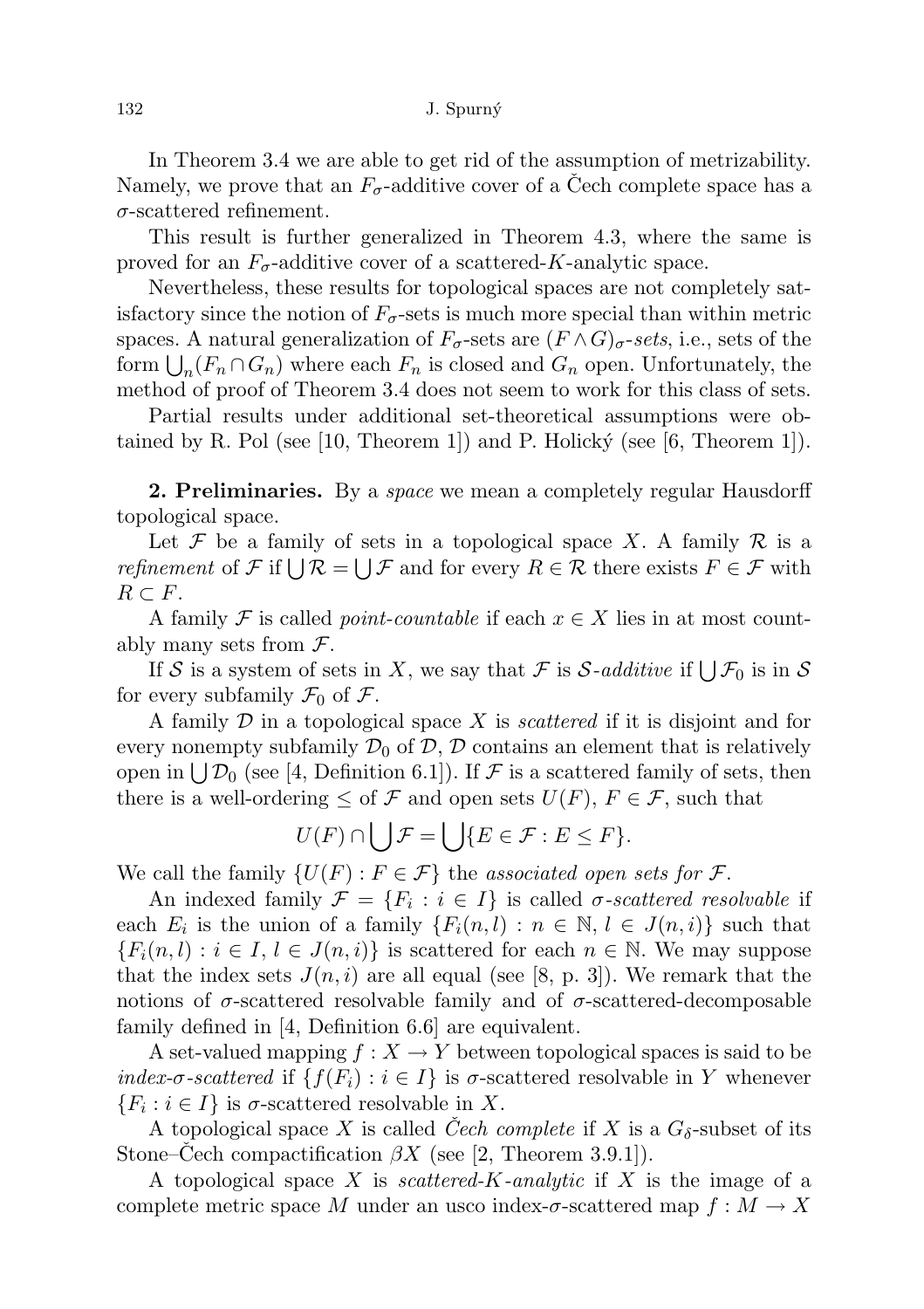In Theorem 3.4 we are able to get rid of the assumption of metrizability. Namely, we prove that an  $F_{\sigma}$ -additive cover of a Cech complete space has a  $\sigma$ -scattered refinement.

This result is further generalized in Theorem 4.3, where the same is proved for an  $F_{\sigma}$ -additive cover of a scattered-K-analytic space.

Nevertheless, these results for topological spaces are not completely satisfactory since the notion of  $F_{\sigma}$ -sets is much more special than within metric spaces. A natural generalization of  $F_{\sigma}$ -sets are  $(F \wedge G)_{\sigma}$ -sets, i.e., sets of the form  $\bigcup_n (F_n \cap G_n)$  where each  $F_n$  is closed and  $G_n$  open. Unfortunately, the method of proof of Theorem 3.4 does not seem to work for this class of sets.

Partial results under additional set-theoretical assumptions were obtained by R. Pol (see [10, Theorem 1]) and P. Holicky (see [6, Theorem 1]).

**2. Preliminaries.** By a *space* we mean a completely regular Hausdorff topological space.

Let F be a family of sets in a topological space X. A family  $\mathcal R$  is a *refinement* of  $\mathcal F$  if  $\bigcup \mathcal R = \bigcup \mathcal F$  and for every  $R \in \mathcal R$  there exists  $F \in \mathcal F$  with  $R \subset F$ .

A family F is called *point-countable* if each  $x \in X$  lies in at most countably many sets from  $\mathcal{F}$ .

If S is a system of sets in X, we say that F is S-additive if  $\bigcup \mathcal{F}_0$  is in S for every subfamily  $\mathcal{F}_0$  of  $\mathcal{F}$ .

A family  $D$  in a topological space  $X$  is *scattered* if it is disjoint and for every nonempty subfamily  $\mathcal{D}_0$  of  $\mathcal{D}, \mathcal{D}$  contains an element that is relatively open in  $\bigcup \mathcal{D}_0$  (see [4, Definition 6.1]). If F is a scattered family of sets, then there is a well-ordering  $\leq$  of  $\mathcal F$  and open sets  $U(F)$ ,  $F \in \mathcal F$ , such that

$$
U(F) \cap \bigcup \mathcal{F} = \bigcup \{E \in \mathcal{F} : E \leq F\}.
$$

We call the family  $\{U(F): F \in \mathcal{F}\}\$  the associated open sets for  $\mathcal{F}.$ 

An indexed family  $\mathcal{F} = \{F_i : i \in I\}$  is called  $\sigma$ -scattered resolvable if each  $E_i$  is the union of a family  $\{F_i(n, l) : n \in \mathbb{N}, l \in J(n, i)\}\$  such that  ${F_i(n, l) : i \in I, l \in J(n, i)}$  is scattered for each  $n \in \mathbb{N}$ . We may suppose that the index sets  $J(n, i)$  are all equal (see [8, p. 3]). We remark that the notions of  $\sigma$ -scattered resolvable family and of  $\sigma$ -scattered-decomposable family defined in [4, Definition 6.6] are equivalent.

A set-valued mapping  $f : X \to Y$  between topological spaces is said to be index- $\sigma$ -scattered if  $\{f(F_i) : i \in I\}$  is  $\sigma$ -scattered resolvable in Y whenever  $\{F_i : i \in I\}$  is  $\sigma$ -scattered resolvable in X.

A topological space X is called Cech complete if X is a  $G_{\delta}$ -subset of its Stone–Cech compactification  $\beta X$  (see [2, Theorem 3.9.1]).

A topological space X is scattered-K-analytic if X is the image of a complete metric space M under an usco index- $\sigma$ -scattered map  $f : M \to X$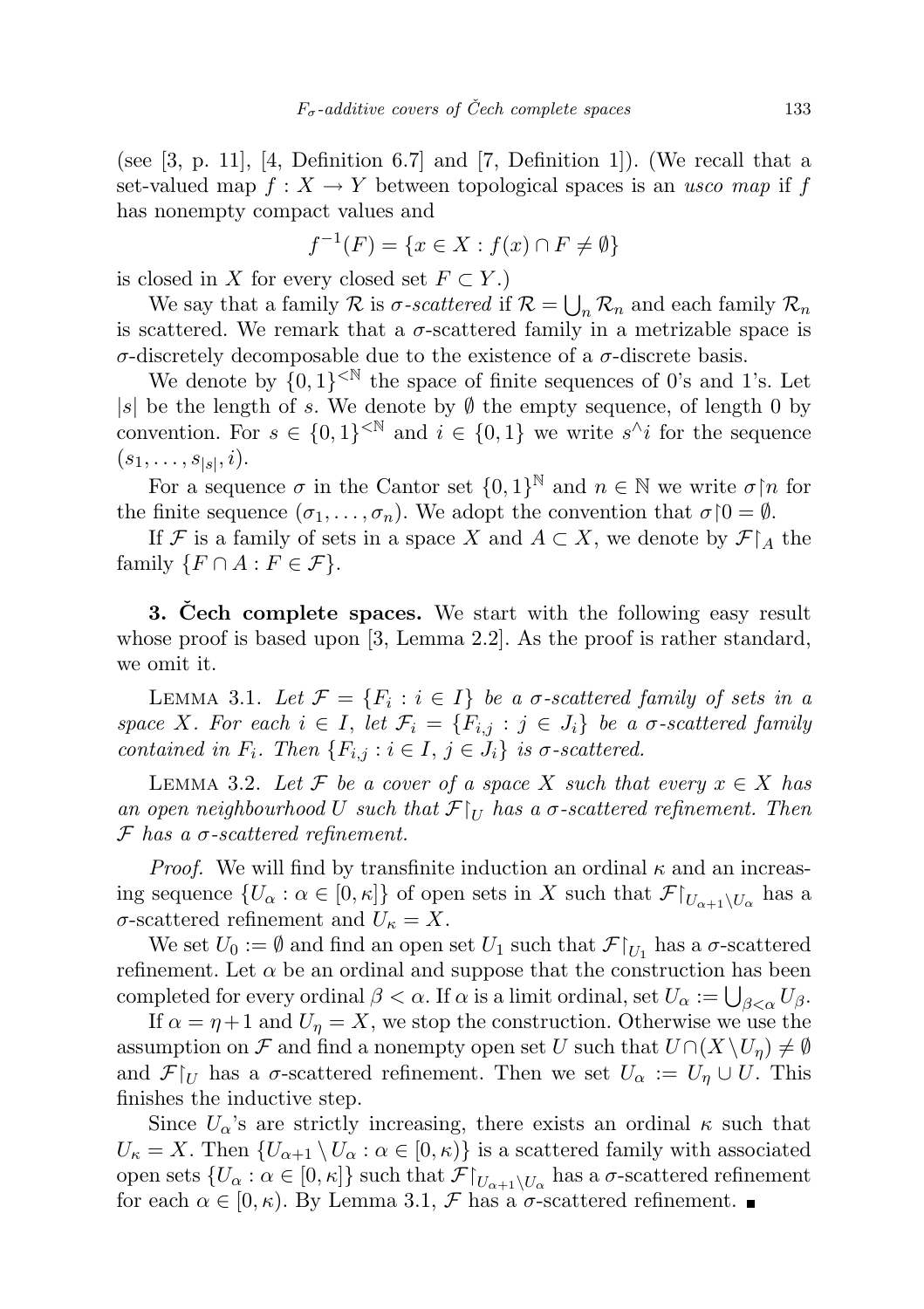(see  $[3, p. 11]$ ,  $[4, Definition 6.7]$  and  $[7, Definition 1]$ ). (We recall that a set-valued map  $f: X \to Y$  between topological spaces is an usco map if f has nonempty compact values and

$$
f^{-1}(F) = \{ x \in X : f(x) \cap F \neq \emptyset \}
$$

is closed in X for every closed set  $F \subset Y$ .)

We say that a family  $\mathcal R$  is  $\sigma$ -scattered if  $\mathcal R = \bigcup_n \mathcal R_n$  and each family  $\mathcal R_n$ is scattered. We remark that a  $\sigma$ -scattered family in a metrizable space is σ-discretely decomposable due to the existence of a σ-discrete basis.

We denote by  $\{0,1\}^{< \mathbb{N}}$  the space of finite sequences of 0's and 1's. Let |s| be the length of s. We denote by  $\emptyset$  the empty sequence, of length 0 by convention. For  $s \in \{0,1\}^{< \mathbb{N}}$  and  $i \in \{0,1\}$  we write  $s^{\wedge}i$  for the sequence  $(s_1, \ldots, s_{|s|}, i).$ 

For a sequence  $\sigma$  in the Cantor set  $\{0,1\}^{\mathbb{N}}$  and  $n \in \mathbb{N}$  we write  $\sigma \upharpoonright n$  for the finite sequence  $(\sigma_1, \ldots, \sigma_n)$ . We adopt the convention that  $\sigma \upharpoonright 0 = \emptyset$ .

If F is a family of sets in a space X and  $A \subset X$ , we denote by  $\mathcal{F}|_A$  the family  $\{F \cap A : F \in \mathcal{F}\}.$ 

**3. Cech complete spaces.** We start with the following easy result whose proof is based upon [3, Lemma 2.2]. As the proof is rather standard, we omit it.

LEMMA 3.1. Let  $\mathcal{F} = \{F_i : i \in I\}$  be a  $\sigma$ -scattered family of sets in a space X. For each  $i \in I$ , let  $\mathcal{F}_i = \{F_{i,j} : j \in J_i\}$  be a  $\sigma$ -scattered family contained in  $F_i$ . Then  $\{F_{i,j} : i \in I, j \in J_i\}$  is  $\sigma$ -scattered.

LEMMA 3.2. Let F be a cover of a space X such that every  $x \in X$  has an open neighbourhood U such that  $\mathcal{F}|_U$  has a  $\sigma$ -scattered refinement. Then  $\mathcal F$  has a  $\sigma$ -scattered refinement.

*Proof.* We will find by transfinite induction an ordinal  $\kappa$  and an increasing sequence  $\{U_\alpha : \alpha \in [0, \kappa]\}\$  of open sets in X such that  $\mathcal{F}|_{U_{\alpha+1}\setminus U_\alpha}$  has a  $\sigma$ -scattered refinement and  $U_{\kappa} = X$ .

We set  $U_0 := \emptyset$  and find an open set  $U_1$  such that  $\mathcal{F}|_{U_1}$  has a  $\sigma$ -scattered refinement. Let  $\alpha$  be an ordinal and suppose that the construction has been completed for every ordinal  $\beta < \alpha$ . If  $\alpha$  is a limit ordinal, set  $U_{\alpha} := \bigcup_{\beta < \alpha} U_{\beta}$ .

If  $\alpha = \eta + 1$  and  $U_{\eta} = X$ , we stop the construction. Otherwise we use the assumption on F and find a nonempty open set U such that  $U \cap (X \setminus U_n) \neq \emptyset$ and  $\mathcal{F}|_U$  has a  $\sigma$ -scattered refinement. Then we set  $U_\alpha := U_\eta \cup U$ . This finishes the inductive step.

Since  $U_{\alpha}$ 's are strictly increasing, there exists an ordinal  $\kappa$  such that  $U_{\kappa} = X$ . Then  $\{U_{\alpha+1} \setminus U_{\alpha} : \alpha \in [0, \kappa)\}\$ is a scattered family with associated open sets  $\{U_\alpha : \alpha \in [0, \kappa]\}\$  such that  $\mathcal{F}|_{U_{\alpha+1}\setminus U_\alpha}$  has a  $\sigma$ -scattered refinement for each  $\alpha \in [0, \kappa)$ . By Lemma 3.1,  $\mathcal F$  has a  $\sigma$ -scattered refinement.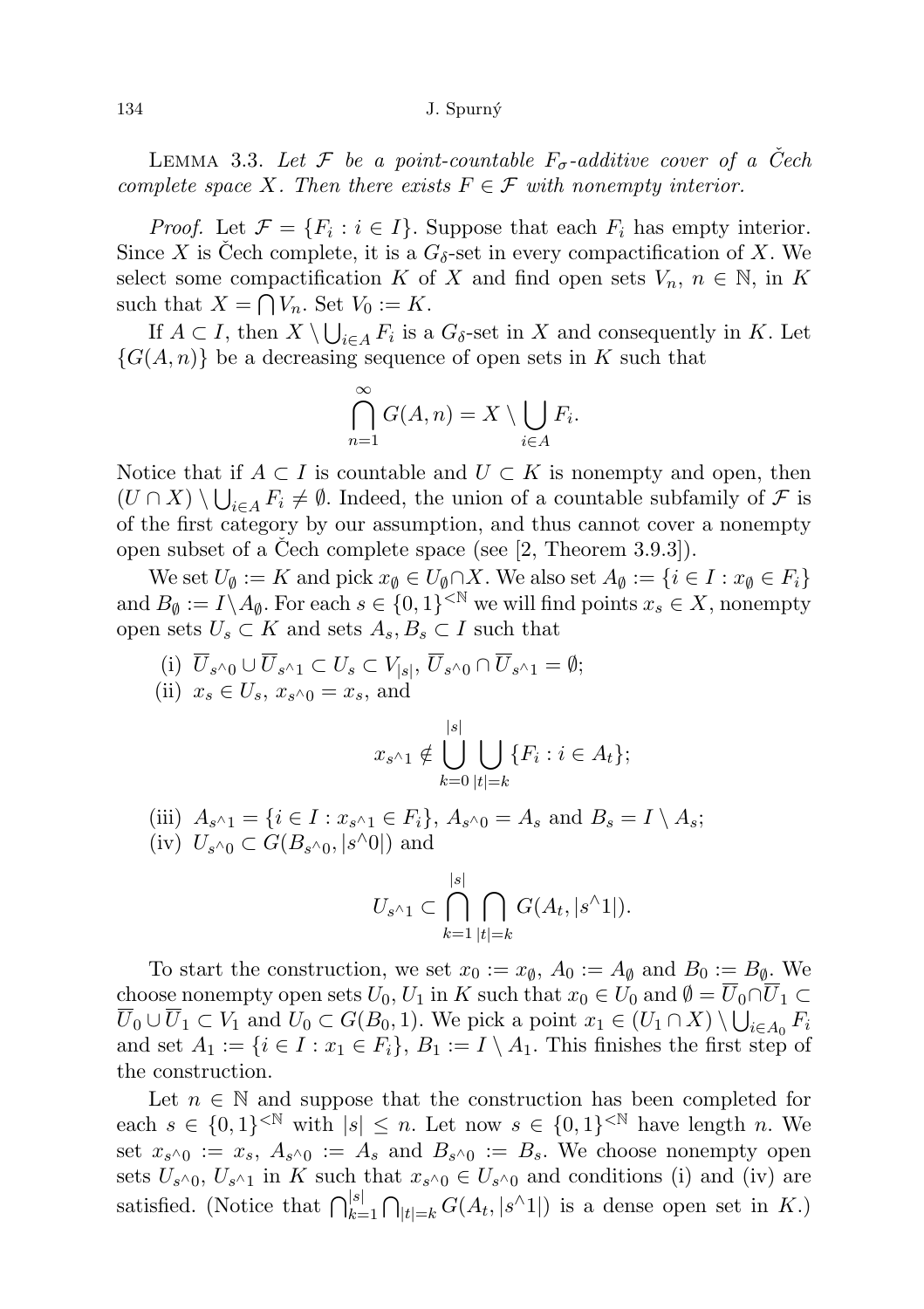## 134 J. Spurn´y

LEMMA 3.3. Let F be a point-countable  $F_{\sigma}$ -additive cover of a Cech complete space X. Then there exists  $F \in \mathcal{F}$  with nonempty interior.

*Proof.* Let  $\mathcal{F} = \{F_i : i \in I\}$ . Suppose that each  $F_i$  has empty interior. Since X is Cech complete, it is a  $G_{\delta}$ -set in every compactification of X. We select some compactification K of X and find open sets  $V_n$ ,  $n \in \mathbb{N}$ , in K such that  $X = \bigcap V_n$ . Set  $V_0 := K$ .

If  $A \subset I$ , then  $X \setminus \bigcup_{i \in A} F_i$  is a  $G_{\delta}$ -set in X and consequently in K. Let  $\{G(A,n)\}\$ be a decreasing sequence of open sets in K such that

$$
\bigcap_{n=1}^{\infty} G(A, n) = X \setminus \bigcup_{i \in A} F_i.
$$

Notice that if  $A \subset I$  is countable and  $U \subset K$  is nonempty and open, then  $(U \cap X) \setminus \bigcup_{i \in A} F_i \neq \emptyset$ . Indeed, the union of a countable subfamily of  $\mathcal F$  is of the first category by our assumption, and thus cannot cover a nonempty open subset of a Cech complete space (see  $[2,$  Theorem 3.9.3]).

We set  $U_{\emptyset} := K$  and pick  $x_{\emptyset} \in U_{\emptyset} \cap X$ . We also set  $A_{\emptyset} := \{i \in I : x_{\emptyset} \in F_i\}$ and  $B_{\emptyset} := I \setminus A_{\emptyset}$ . For each  $s \in \{0,1\}^{\leq \mathbb{N}}$  we will find points  $x_s \in X$ , nonempty open sets  $U_s \subset K$  and sets  $A_s, B_s \subset I$  such that

(i)  $U_{s^{\wedge}0} \cup U_{s^{\wedge}1} \subset U_s \subset V_{|s|}, U_{s^{\wedge}0} \cap U_{s^{\wedge}1} = \emptyset;$ (ii)  $x_s \in U_s$ ,  $x_{s^{\wedge}0} = x_s$ , and

$$
x_{s^{\wedge}1} \notin \bigcup_{k=0}^{|s|} \bigcup_{|t|=k} \{F_i : i \in A_t\};
$$

(iii)  $A_{s^{\wedge}1} = \{i \in I : x_{s^{\wedge}1} \in F_i\}, A_{s^{\wedge}0} = A_s \text{ and } B_s = I \setminus A_s;$ 

(iv)  $U_{s^{\wedge}0} \subset G(B_{s^{\wedge}0}, |s^{\wedge}0|)$  and

$$
U_{s^{\wedge}1} \subset \bigcap_{k=1}^{|s|} \bigcap_{|t|=k} G(A_t, |s^{\wedge}1|).
$$

To start the construction, we set  $x_0 := x_{\emptyset}$ ,  $A_0 := A_{\emptyset}$  and  $B_0 := B_{\emptyset}$ . We choose nonempty open sets  $U_0, U_1$  in K such that  $x_0 \in U_0$  and  $\emptyset = \overline{U}_0 \cap \overline{U}_1 \subset$  $\overline{U}_0 \cup \overline{U}_1 \subset V_1$  and  $U_0 \subset G(B_0, 1)$ . We pick a point  $x_1 \in (U_1 \cap X) \setminus \bigcup_{i \in A_0} F_i$ and set  $A_1 := \{i \in I : x_1 \in F_i\}$ ,  $B_1 := I \setminus A_1$ . This finishes the first step of the construction.

Let  $n \in \mathbb{N}$  and suppose that the construction has been completed for each  $s \in \{0,1\}^{< \mathbb{N}}$  with  $|s| \leq n$ . Let now  $s \in \{0,1\}^{< \mathbb{N}}$  have length n. We set  $x_{s^{\wedge}0} := x_s$ ,  $A_{s^{\wedge}0} := A_s$  and  $B_{s^{\wedge}0} := B_s$ . We choose nonempty open sets  $U_{s^{\wedge}0}$ ,  $U_{s^{\wedge}1}$  in K such that  $x_{s^{\wedge}0} \in U_{s^{\wedge}0}$  and conditions (i) and (iv) are satisfied. (Notice that  $\bigcap_{k=1}^{|s|} \bigcap_{|t|=k} G(A_t, |s \wedge 1|)$  is a dense open set in K.)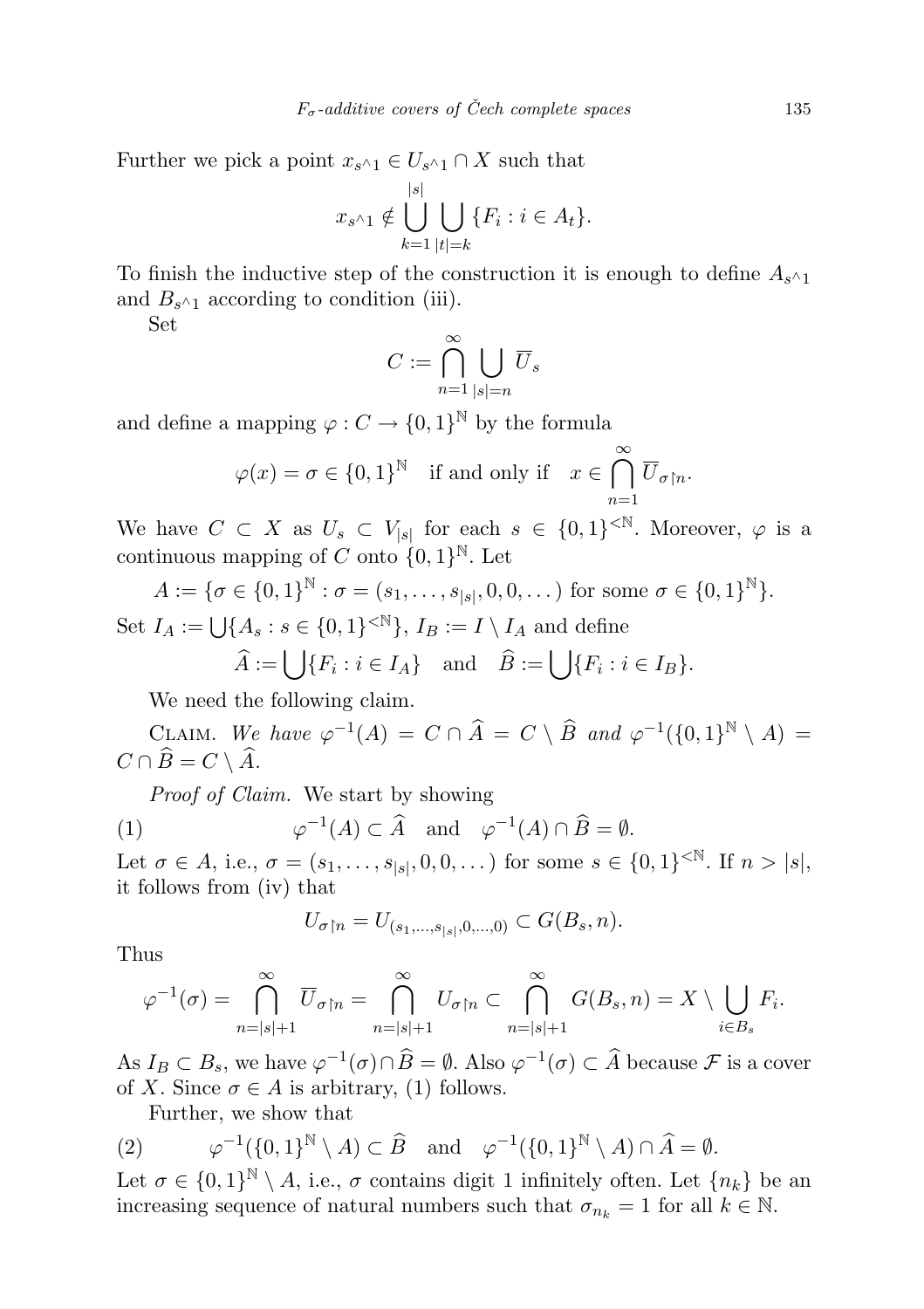Further we pick a point  $x_{s^{\wedge}1} \in U_{s^{\wedge}1} \cap X$  such that

$$
x_{s^{\wedge}1} \notin \bigcup_{k=1}^{|s|} \bigcup_{|t|=k} \{F_i : i \in A_t\}.
$$

To finish the inductive step of the construction it is enough to define  $A_{s^{\wedge}1}$ and  $B_{s^{\wedge}1}$  according to condition (iii).

Set

$$
C := \bigcap_{n=1}^{\infty} \bigcup_{|s|=n} \overline{U}_s
$$

and define a mapping  $\varphi: C \to \{0,1\}^{\mathbb{N}}$  by the formula

$$
\varphi(x) = \sigma \in \{0, 1\}^{\mathbb{N}} \quad \text{if and only if} \quad x \in \bigcap_{n=1}^{\infty} \overline{U}_{\sigma \upharpoonright n}.
$$

We have  $C \subset X$  as  $U_s \subset V_{|s|}$  for each  $s \in \{0,1\}^{< N}$ . Moreover,  $\varphi$  is a continuous mapping of C onto  $\{0,1\}^{\mathbb{N}}$ . Let

$$
A := \{ \sigma \in \{0, 1\}^{\mathbb{N}} : \sigma = (s_1, \dots, s_{|s|}, 0, 0, \dots) \text{ for some } \sigma \in \{0, 1\}^{\mathbb{N}} \}.
$$
  
Set  $I_A := \bigcup \{A_s : s \in \{0, 1\}^{< \mathbb{N}}\}, I_B := I \setminus I_A \text{ and define}$ 

$$
\widehat{A} := \bigcup \{ F_i : i \in I_A \} \quad \text{and} \quad \widehat{B} := \bigcup \{ F_i : i \in I_B \}.
$$

We need the following claim.

CLAIM. We have  $\varphi^{-1}(A) = C \cap \widehat{A} = C \setminus \widehat{B}$  and  $\varphi^{-1}(\{0,1\}^{\mathbb{N}} \setminus A) =$  $C \cap \widehat{B} = C \setminus \widehat{A}.$ 

Proof of Claim. We start by showing

(1) 
$$
\varphi^{-1}(A) \subset \widehat{A}
$$
 and  $\varphi^{-1}(A) \cap \widehat{B} = \emptyset$ .

Let  $\sigma \in A$ , i.e.,  $\sigma = (s_1, \ldots, s_{|s|}, 0, 0, \ldots)$  for some  $s \in \{0, 1\}^{< N}$ . If  $n > |s|$ , it follows from (iv) that

$$
U_{\sigma \restriction n} = U_{(s_1, \ldots, s_{|s|}, 0, \ldots, 0)} \subset G(B_s, n).
$$

Thus

$$
\varphi^{-1}(\sigma) = \bigcap_{n=|s|+1}^{\infty} \overline{U}_{\sigma \upharpoonright n} = \bigcap_{n=|s|+1}^{\infty} U_{\sigma \upharpoonright n} \subset \bigcap_{n=|s|+1}^{\infty} G(B_s, n) = X \setminus \bigcup_{i \in B_s} F_i.
$$

As  $I_B \subset B_s$ , we have  $\varphi^{-1}(\sigma) \cap \widehat{B} = \emptyset$ . Also  $\varphi^{-1}(\sigma) \subset \widehat{A}$  because  $\mathcal F$  is a cover of X. Since  $\sigma \in A$  is arbitrary, (1) follows.

Further, we show that

(2) 
$$
\varphi^{-1}(\{0,1\}^{\mathbb{N}} \setminus A) \subset \widehat{B}
$$
 and  $\varphi^{-1}(\{0,1\}^{\mathbb{N}} \setminus A) \cap \widehat{A} = \emptyset$ .

Let  $\sigma \in \{0,1\}^{\mathbb{N}} \setminus A$ , i.e.,  $\sigma$  contains digit 1 infinitely often. Let  $\{n_k\}$  be an increasing sequence of natural numbers such that  $\sigma_{n_k} = 1$  for all  $k \in \mathbb{N}$ .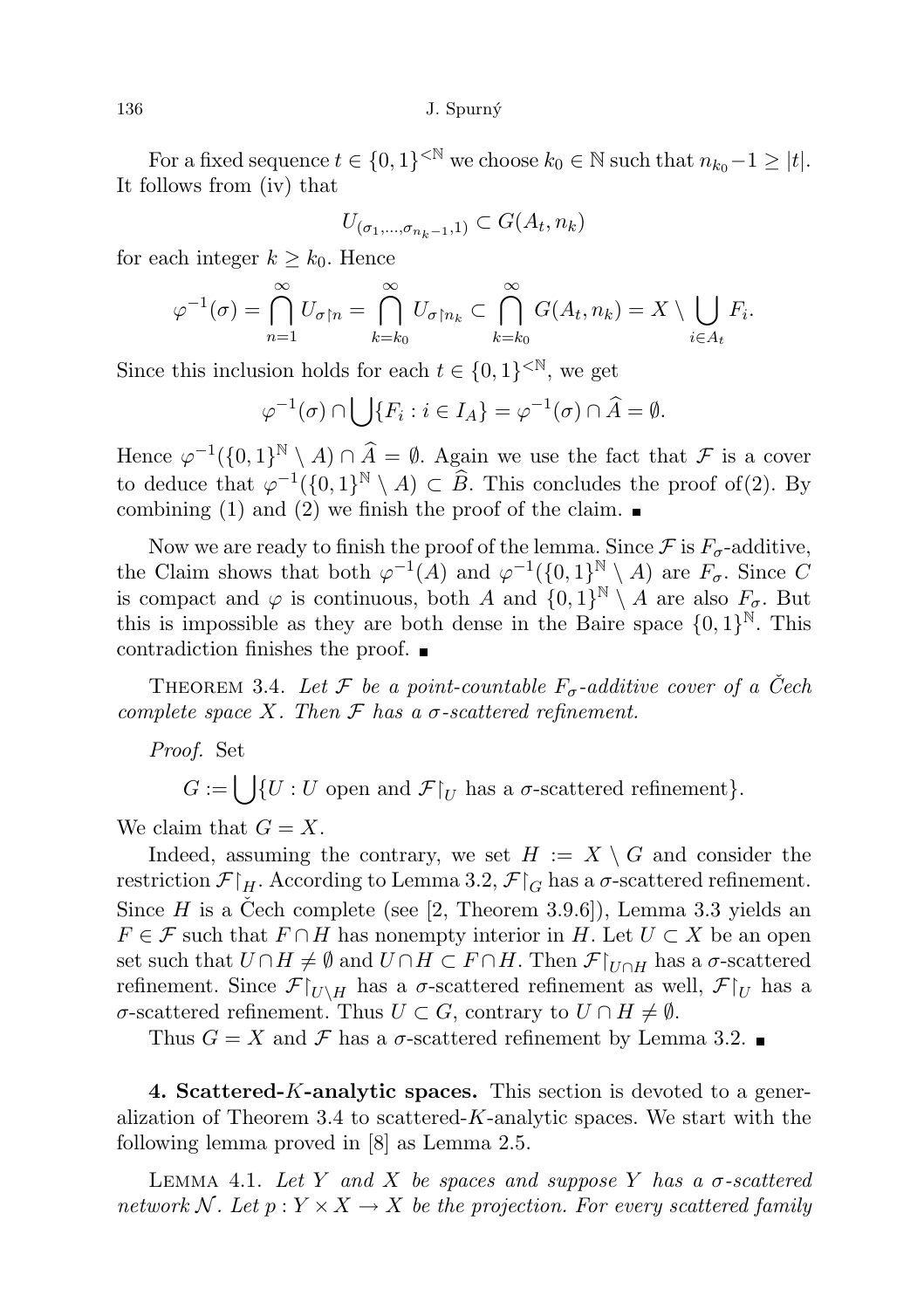For a fixed sequence  $t \in \{0,1\}^{\leq \mathbb{N}}$  we choose  $k_0 \in \mathbb{N}$  such that  $n_{k_0} - 1 \geq |t|$ . It follows from (iv) that

$$
U_{(\sigma_1,\ldots,\sigma_{n_k-1},1)} \subset G(A_t,n_k)
$$

for each integer  $k \geq k_0$ . Hence

$$
\varphi^{-1}(\sigma) = \bigcap_{n=1}^{\infty} U_{\sigma \upharpoonright n} = \bigcap_{k=k_0}^{\infty} U_{\sigma \upharpoonright n_k} \subset \bigcap_{k=k_0}^{\infty} G(A_t, n_k) = X \setminus \bigcup_{i \in A_t} F_i.
$$

Since this inclusion holds for each  $t \in \{0,1\}^{< N}$ , we get

$$
\varphi^{-1}(\sigma) \cap \bigcup \{ F_i : i \in I_A \} = \varphi^{-1}(\sigma) \cap \widehat{A} = \emptyset.
$$

Hence  $\varphi^{-1}(\{0,1\}^{\mathbb{N}} \setminus A) \cap \widehat{A} = \emptyset$ . Again we use the fact that  $\mathcal F$  is a cover to deduce that  $\varphi^{-1}(\{0,1\}^{\mathbb{N}} \setminus A) \subset \widehat{B}$ . This concludes the proof of(2). By combining (1) and (2) we finish the proof of the claim.  $\blacksquare$ 

Now we are ready to finish the proof of the lemma. Since  $\mathcal F$  is  $F_{\sigma}$ -additive, the Claim shows that both  $\varphi^{-1}(A)$  and  $\varphi^{-1}(\{0,1\}^{\mathbb{N}} \setminus A)$  are  $F_{\sigma}$ . Since C is compact and  $\varphi$  is continuous, both A and  $\{0,1\}^{\mathbb{N}} \setminus A$  are also  $F_{\sigma}$ . But this is impossible as they are both dense in the Baire space  $\{0,1\}^{\mathbb{N}}$ . This contradiction finishes the proof.

THEOREM 3.4. Let F be a point-countable  $F_{\sigma}$ -additive cover of a Čech complete space X. Then  $\mathcal F$  has a  $\sigma$ -scattered refinement.

Proof. Set

 $G := \bigcup \{U : U \text{ open and } \mathcal{F}|_U \text{ has a } \sigma\text{-scattered refinement}\}.$ 

We claim that  $G = X$ .

Indeed, assuming the contrary, we set  $H := X \setminus G$  and consider the restriction  $\mathcal{F}|_H$ . According to Lemma 3.2,  $\mathcal{F}|_G$  has a  $\sigma$ -scattered refinement. Since H is a Čech complete (see [2, Theorem 3.9.6]), Lemma 3.3 yields an  $F \in \mathcal{F}$  such that  $F \cap H$  has nonempty interior in H. Let  $U \subset X$  be an open set such that  $U \cap H \neq \emptyset$  and  $U \cap H \subset F \cap H$ . Then  $\mathcal{F}|_{U \cap H}$  has a  $\sigma$ -scattered refinement. Since  $\mathcal{F}|_{U\setminus H}$  has a  $\sigma$ -scattered refinement as well,  $\mathcal{F}|_U$  has a σ-scattered refinement. Thus  $U \subset G$ , contrary to  $U \cap H \neq ∅$ .

Thus  $G = X$  and  $\mathcal F$  has a  $\sigma$ -scattered refinement by Lemma 3.2.

4. Scattered-K-analytic spaces. This section is devoted to a generalization of Theorem 3.4 to scattered- $K$ -analytic spaces. We start with the following lemma proved in [8] as Lemma 2.5.

LEMMA 4.1. Let Y and X be spaces and suppose Y has a  $\sigma$ -scattered network N. Let  $p: Y \times X \to X$  be the projection. For every scattered family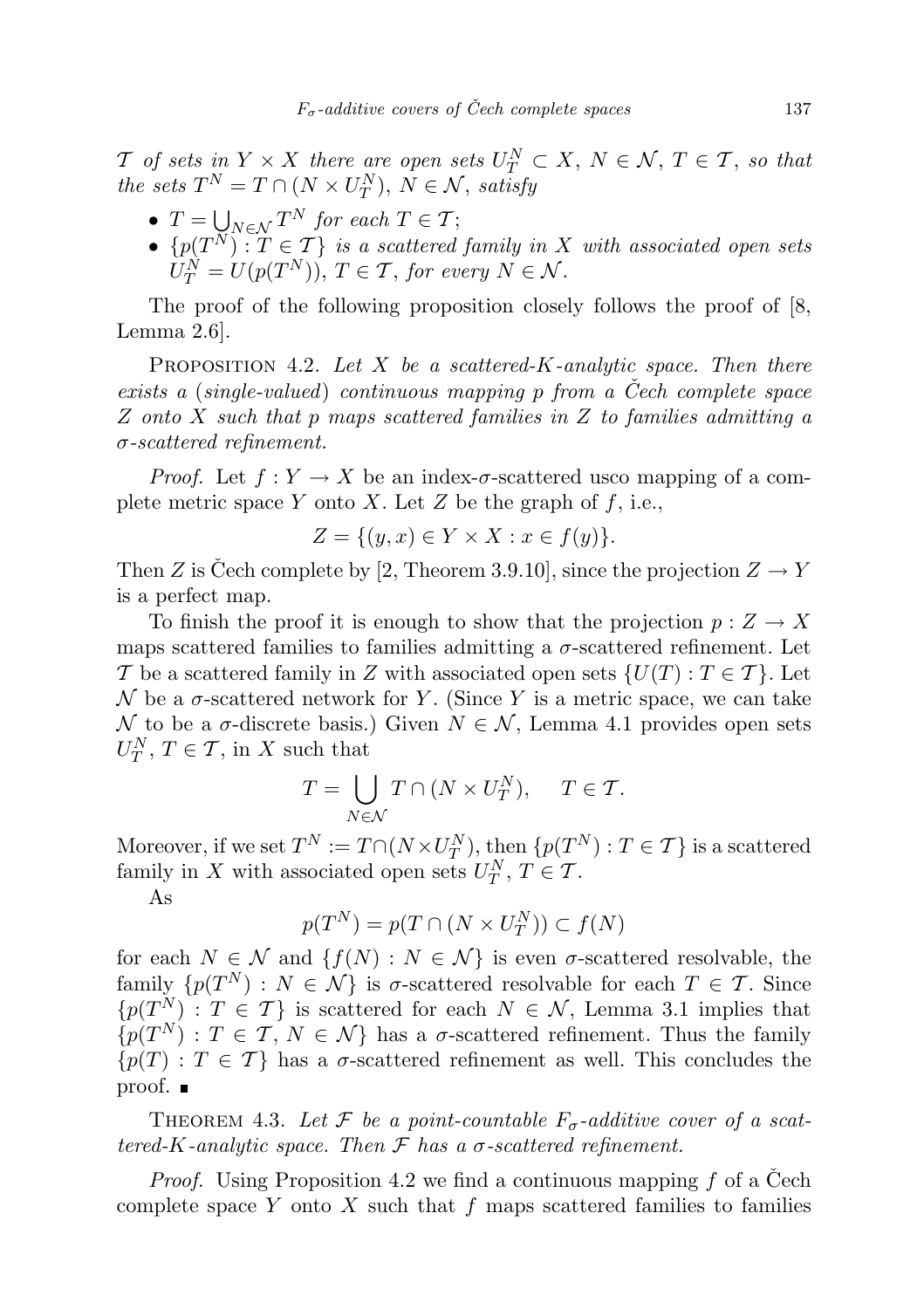T of sets in  $Y \times X$  there are open sets  $U^N_T \subset X$ ,  $N \in \mathcal{N}$ ,  $T \in \mathcal{T}$ , so that the sets  $T^N = T \cap (N \times U_T^N)$ ,  $N \in \mathcal{N}$ , satisfy

- $T = \bigcup_{N \in \mathcal{N}} T^N$  for each  $T \in \mathcal{T}$ ;
- $\{p(T^N) : T \in \mathcal{T}\}\$ is a scattered family in X with associated open sets  $U_T^N = U(p(T^N)), T \in \mathcal{T},$  for every  $N \in \mathcal{N}$ .

The proof of the following proposition closely follows the proof of [8, Lemma 2.6].

PROPOSITION 4.2. Let X be a scattered-K-analytic space. Then there exists a (single-valued) continuous mapping  $p$  from a Cech complete space Z onto X such that p maps scattered families in Z to families admitting a  $\sigma$ -scattered refinement.

*Proof.* Let  $f: Y \to X$  be an index- $\sigma$ -scattered usco mapping of a complete metric space Y onto X. Let Z be the graph of  $f$ , i.e.,

$$
Z = \{(y, x) \in Y \times X : x \in f(y)\}.
$$

Then Z is Čech complete by [2, Theorem 3.9.10], since the projection  $Z \to Y$ is a perfect map.

To finish the proof it is enough to show that the projection  $p: Z \to X$ maps scattered families to families admitting a  $\sigma$ -scattered refinement. Let T be a scattered family in Z with associated open sets  $\{U(T): T \in \mathcal{T}\}\.$  Let  $\mathcal N$  be a  $\sigma$ -scattered network for Y. (Since Y is a metric space, we can take N to be a  $\sigma$ -discrete basis.) Given  $N \in \mathcal{N}$ , Lemma 4.1 provides open sets  $U_T^N, T \in \mathcal{T}$ , in X such that

$$
T = \bigcup_{N \in \mathcal{N}} T \cap (N \times U_T^N), \quad T \in \mathcal{T}.
$$

Moreover, if we set  $T^N := T \cap (N \times U_T^N)$ , then  $\{p(T^N) : T \in \mathcal{T}\}\$  is a scattered family in X with associated open sets  $U_T^N$ ,  $T \in \mathcal{T}$ .

As

$$
p(T^N) = p(T \cap (N \times U_T^N)) \subset f(N)
$$

for each  $N \in \mathcal{N}$  and  $\{f(N) : N \in \mathcal{N}\}\$ is even  $\sigma$ -scattered resolvable, the family  $\{p(T^N): N \in \mathcal{N}\}\$ is  $\sigma$ -scattered resolvable for each  $T \in \mathcal{T}$ . Since  ${p(T^N): T \in \mathcal{T}}$  is scattered for each  $N \in \mathcal{N}$ , Lemma 3.1 implies that  $\{p(T^N): T \in \mathcal{T}, N \in \mathcal{N}\}\$  has a  $\sigma$ -scattered refinement. Thus the family  ${p(T) : T \in \mathcal{T}}$  has a  $\sigma$ -scattered refinement as well. This concludes the proof.

THEOREM 4.3. Let F be a point-countable  $F_{\sigma}$ -additive cover of a scattered-K-analytic space. Then  $\mathcal F$  has a  $\sigma$ -scattered refinement.

*Proof.* Using Proposition 4.2 we find a continuous mapping  $f$  of a Cech complete space Y onto X such that  $f$  maps scattered families to families